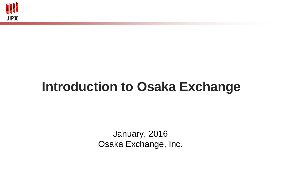

# **Introduction to Osaka Exchange**

January, 2016 Osaka Exchange, Inc.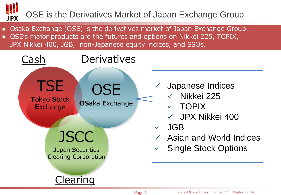# OSE is the Derivatives Market of Japan Exchange Group **JPX**

- Osaka Exchange (OSE) is the derivatives market of Japan Exchange Group.
- OSE's major products are the futures and options on Nikkei 225, TOPIX,
- JPX Nikkei 400, JGB, non-Japanese equity indices, and SSOs.

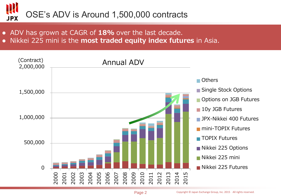# OSE's ADV is Around 1,500,000 contracts **JPX**

- ADV has grown at CAGR of 18% over the last decade.
- Nikkei 225 mini is the most traded equity index futures in Asia.

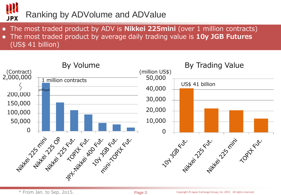

- The most traded product by ADV is **Nikkei 225mini** (over 1 million contracts)
- The most traded product by average daily trading value is 10y JGB Futures (US\$ 41 billion)

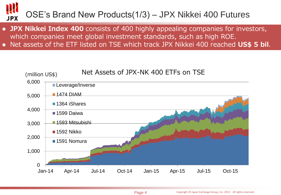# OSE's Brand New Products(1/3) – JPX Nikkei 400 Futures **JPX**

- JPX Nikkei Index 400 consists of 400 highly appealing companies for investors, which companies meet global investment standards, such as high ROE.
- Net assets of the ETF listed on TSE which track JPX Nikkei 400 reached US\$ 5 bil.

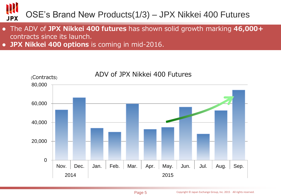# OSE's Brand New Products(1/3) – JPX Nikkei 400 Futures **JPX**

- The ADV of JPX Nikkei 400 futures has shown solid growth marking 46,000+ contracts since its launch.
- JPX Nikkei 400 options is coming in mid-2016.

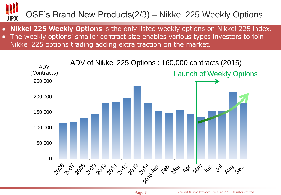# OSE's Brand New Products(2/3) – Nikkei 225 Weekly Options**JPX**

- Nikkei 225 Weekly Options is the only listed weekly options on Nikkei 225 index.
- The weekly options' smaller contract size enables various types investors to join Nikkei 225 options trading adding extra traction on the market.

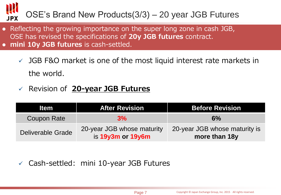### OSE's Brand New Products(3/3) – 20 year JGB Futures **JPX**

- Reflecting the growing importance on the super long zone in cash JGB, OSE has revised the specifications of 20y JGB futures contract. • mini 10y JGB futures is cash-settled.
	- $\checkmark$  JGB F&O market is one of the most liquid interest rate markets in the world.
	- $\checkmark$  Revision of 20-year JGB Futures

| <b>Item</b>              | <b>After Revision</b>                           | <b>Before Revision</b>                         |
|--------------------------|-------------------------------------------------|------------------------------------------------|
| Coupon Rate              | 3%                                              | 6%                                             |
| <b>Deliverable Grade</b> | 20-year JGB whose maturity<br>is 19y3m or 19y6m | 20-year JGB whose maturity is<br>more than 18y |

 $\checkmark$  Cash-settled: mini 10-year JGB Futures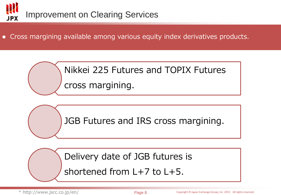

Cross margining available among various equity index derivatives products.

Nikkei 225 Futures and TOPIX Futures cross margining.

JGB Futures and IRS cross margining.

Delivery date of JGB futures is

shortened from L+7 to L+5.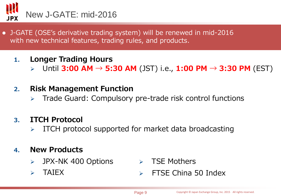

- J-GATE (OSE's derivative trading system) will be renewed in mid-2016 with new technical features, trading rules, and products.
	- 1. Longer Trading Hours
		- > Until 3:00 AM → 5:30 AM (JST) i.e., 1:00 PM → 3:30 PM (EST)
	- 2. Risk Management Function
		- Trade Guard: Compulsory pre-trade risk control functions

### 3. ITCH Protocol

ITCH protocol supported for market data broadcasting

#### 4. New Products

- > JPX-NK 400 Options
- 
- $\triangleright$  TSE Mothers
- TAIEX FTSE China 50 Index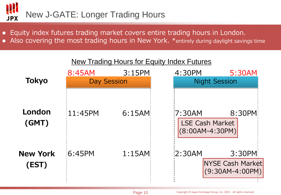

- Equity index futures trading market covers entire trading hours in London.
- Also covering the most trading hours in New York. \*entirely during daylight savings time

|                          |                    |        | <b>New Trading Hours for Equity Index Futures</b>      |                                                        |
|--------------------------|--------------------|--------|--------------------------------------------------------|--------------------------------------------------------|
|                          | 8:45AM             | 3:15PM | 4:30PM                                                 | 5:30AM                                                 |
| <b>Tokyo</b>             | <b>Day Session</b> |        | <b>Night Session</b>                                   |                                                        |
| London<br>(GMT)          | 11:45PM            | 6:15AM | 17:30AM<br><b>LSE Cash Market</b><br>$(8:00AM-4:30PM)$ | 8:30PM                                                 |
| <b>New York</b><br>(EST) | 6:45PM             | 1:15AM | 2:30AM                                                 | 3:30PM<br><b>NYSE Cash Market</b><br>$(9:30AM-4:00PM)$ |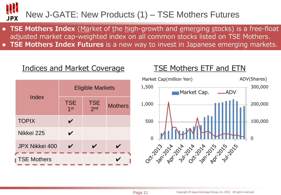#### New J-GATE: New Products (1) – TSE Mothers Futures **JPX**

- TSE Mothers Index (Market of the high-growth and emerging stocks) is a free-float adjusted market cap-weighted index on all common stocks listed on TSE Mothers.
- **TSE Mothers Index Futures** is a new way to invest in Japanese emerging markets.

## Indices and Market Coverage TSE Mothers ETF and ETN

|                       | <b>Eligible Markets</b>       |                               |                |  |
|-----------------------|-------------------------------|-------------------------------|----------------|--|
| Index                 | <b>TSE</b><br>1 <sup>st</sup> | <b>TSE</b><br>2 <sub>nd</sub> | <b>Mothers</b> |  |
| <b>TOPIX</b>          |                               |                               |                |  |
| Nikkei 225            |                               |                               |                |  |
| <b>JPX Nikkei 400</b> |                               |                               |                |  |
| <b>TSE Mothers</b>    |                               |                               |                |  |

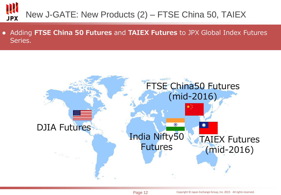# New J-GATE: New Products (2) – FTSE China 50, TAIEX **JPX**

• Adding FTSE China 50 Futures and TAIEX Futures to JPX Global Index Futures Series.

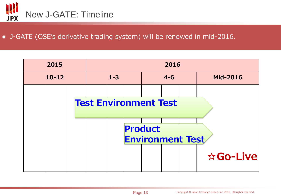

#### J-GATE (OSE's derivative trading system) will be renewed in mid-2016.

| 2015      | 2016                         |         |  |                                    |         |  |                 |
|-----------|------------------------------|---------|--|------------------------------------|---------|--|-----------------|
| $10 - 12$ |                              | $1 - 3$ |  |                                    | $4 - 6$ |  | <b>Mid-2016</b> |
|           |                              |         |  |                                    |         |  |                 |
|           | <b>Test Environment Test</b> |         |  |                                    |         |  |                 |
|           |                              |         |  |                                    |         |  |                 |
|           |                              |         |  | Product<br><b>Environment Test</b> |         |  |                 |
|           |                              |         |  |                                    |         |  | ☆Go-Live        |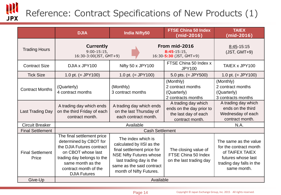# Reference: Contract Specifications of New Products (1)

W<br>JPX

|                                  | <b>DJIA</b>                                                                                                                                                                                                | <b>India Nifty50</b>                                                                                                                                                                               | <b>FTSE China 50 Index</b><br>(mid-2016)                                                   | <b>TAIEX</b><br>$(mid-2016)$                                                                                                        |
|----------------------------------|------------------------------------------------------------------------------------------------------------------------------------------------------------------------------------------------------------|----------------------------------------------------------------------------------------------------------------------------------------------------------------------------------------------------|--------------------------------------------------------------------------------------------|-------------------------------------------------------------------------------------------------------------------------------------|
| <b>Trading Hours</b>             | Currently<br>$9:00-15:15$<br>16:30-3:00(JST, GMT+9)                                                                                                                                                        |                                                                                                                                                                                                    | From mid-2016<br>$8:45 - 15:15$<br>16:30-5:30 (JST, GMT+9)                                 | $8:45-15:15$<br>$(JST, GMT+9)$                                                                                                      |
| <b>Contract Size</b>             | DJIA x JPY100                                                                                                                                                                                              | Nifty 50 x JPY100                                                                                                                                                                                  | FTSE China 50 Index x<br><b>JPY100</b>                                                     | TAIEX x JPY100                                                                                                                      |
| <b>Tick Size</b>                 | 1.0 pt. $(=$ JPY100)                                                                                                                                                                                       | 1.0 pt. $(=$ JPY100)                                                                                                                                                                               | 5.0 pts. $(=$ JPY500)                                                                      | 1.0 pt. $(=$ JPY100)                                                                                                                |
| <b>Contract Months</b>           | (Quarterly)<br>4 contract months                                                                                                                                                                           | (Monthly)<br>3 contract months                                                                                                                                                                     | (Monthly)<br>2 contract months<br>(Quarterly)<br>2 contracts months                        | (Monthly)<br>2 contract months<br>(Quarterly)<br>3 contracts months                                                                 |
| <b>Last Trading Day</b>          | A trading day which ends<br>on the third Friday of each<br>contract month.                                                                                                                                 | A trading day which ends<br>on the last Thursday of<br>each contract month.                                                                                                                        | A trading day which<br>ends on the day prior to<br>the last day of each<br>contract month. | A trading day which<br>ends on the third<br>Wednesday of each<br>contract month.                                                    |
| <b>Circuit Breaker</b>           |                                                                                                                                                                                                            | N.A.                                                                                                                                                                                               |                                                                                            |                                                                                                                                     |
| <b>Final Settlement</b>          |                                                                                                                                                                                                            |                                                                                                                                                                                                    |                                                                                            |                                                                                                                                     |
| <b>Final Settlement</b><br>Price | The final settlement price<br>determined by CBOT for<br>the DJIA Futures contract<br>on CBOT whose last<br>trading day belongs to the<br>same month as the<br>contract month of the<br><b>DJIA Futures</b> | The index which is<br>calculated by IISI as the<br>final settlement price for<br><b>NSE Nifty Futures whose</b><br>last trading day is the<br>same as the said contract<br>month of Nifty Futures. | The closing value of<br>FTSE China 50 Index<br>on the last trading day                     | The same as the value<br>for the contract month<br>of TAIFEX TAIEX<br>futures whose last<br>trading day falls in the<br>same month. |
| Give-Up                          | Available                                                                                                                                                                                                  |                                                                                                                                                                                                    |                                                                                            |                                                                                                                                     |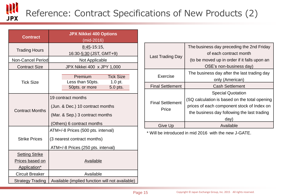# W<br>JPX Reference: Contract Specifications of New Products (2)

| <b>Contract</b>                                          | <b>JPX Nikkei 400 Options</b><br>(mid-2016)                                                                             |  |  |  |
|----------------------------------------------------------|-------------------------------------------------------------------------------------------------------------------------|--|--|--|
| <b>Trading Hours</b>                                     | $8:45-15:15$ ,<br>16:30-5:30 (JST, GMT+9)                                                                               |  |  |  |
| Non-Cancel Period                                        | Not Applicable                                                                                                          |  |  |  |
| <b>Contract Size</b>                                     | JPX Nikkei 400 x JPY 1,000                                                                                              |  |  |  |
| <b>Tick Size</b>                                         | Premium<br><b>Tick Size</b><br>Less than 50pts.<br>1.0 pt.<br>50pts. or more<br>5.0 pts.                                |  |  |  |
| <b>Contract Months</b>                                   | 19 contract months<br>(Jun. & Dec.) 10 contract months<br>(Mar. & Sep.) 3 contract months<br>(Others) 6 contract months |  |  |  |
| <b>Strike Prices</b>                                     | ATM+/-8 Prices (500 pts. interval)<br>(3 nearest contract months)<br>ATM+/-8 Prices (250 pts. interval)                 |  |  |  |
| <b>Setting Strike</b><br>Prices based on<br>Application* | Available                                                                                                               |  |  |  |
| <b>Circuit Breaker</b>                                   | Available                                                                                                               |  |  |  |
| <b>Strategy Trading</b>                                  | Available (implied function will not available)                                                                         |  |  |  |

| Last Trading Day                 | The business day preceding the 2nd Friday<br>of each contract month<br>(to be moved up in order if it falls upon an<br>OSE's non-business day)                                |
|----------------------------------|-------------------------------------------------------------------------------------------------------------------------------------------------------------------------------|
| Exercise                         | The business day after the last trading day<br>only (American)                                                                                                                |
| <b>Final Settlement</b>          | <b>Cash Settlement</b>                                                                                                                                                        |
| <b>Final Settlement</b><br>Price | <b>Special Quotation</b><br>(SQ calculation is based on the total opening<br>prices of each component stock of Index on<br>the business day following the last trading<br>day |
| Give Up                          | Available                                                                                                                                                                     |

\* Will be introduced in mid 2016 with the new J-GATE.